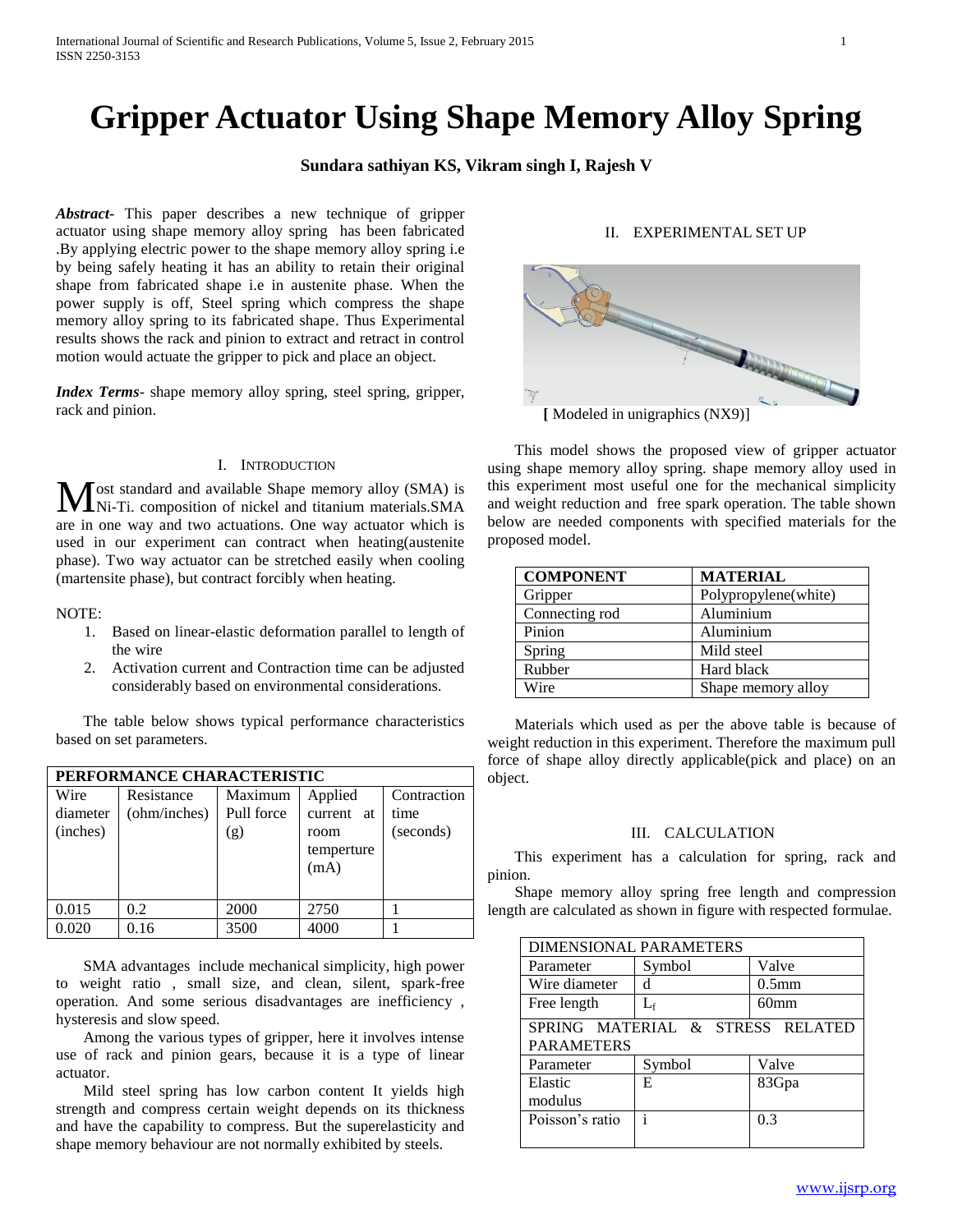# **Gripper Actuator Using Shape Memory Alloy Spring**

# **Sundara sathiyan KS, Vikram singh I, Rajesh V**

*Abstract***-** This paper describes a new technique of gripper actuator using shape memory alloy spring has been fabricated .By applying electric power to the shape memory alloy spring i.e by being safely heating it has an ability to retain their original shape from fabricated shape i.e in austenite phase. When the power supply is off, Steel spring which compress the shape memory alloy spring to its fabricated shape. Thus Experimental results shows the rack and pinion to extract and retract in control motion would actuate the gripper to pick and place an object.

*Index Terms*- shape memory alloy spring, steel spring, gripper, rack and pinion.

#### I. INTRODUCTION

ost standard and available Shape memory alloy (SMA) is Ni-Ti. composition of nickel and titanium materials.SMA are in one way and two actuations. One way actuator which is used in our experiment can contract when heating(austenite phase). Two way actuator can be stretched easily when cooling (martensite phase), but contract forcibly when heating. M

NOTE:

- 1. Based on linear-elastic deformation parallel to length of the wire
- 2. Activation current and Contraction time can be adjusted considerably based on environmental considerations.

 The table below shows typical performance characteristics based on set parameters.

| PERFORMANCE CHARACTERISTIC   |                            |                              |                                                     |                                  |  |  |
|------------------------------|----------------------------|------------------------------|-----------------------------------------------------|----------------------------------|--|--|
| Wire<br>diameter<br>(inches) | Resistance<br>(ohm/inches) | Maximum<br>Pull force<br>(g) | Applied<br>current at<br>room<br>temperture<br>(mA) | Contraction<br>time<br>(seconds) |  |  |
| 0.015                        | 0.2                        | 2000                         | 2750                                                |                                  |  |  |
| 0.020                        | 0.16                       | 3500                         | 4000                                                |                                  |  |  |

 SMA advantages include mechanical simplicity, high power to weight ratio , small size, and clean, silent, spark-free operation. And some serious disadvantages are inefficiency , hysteresis and slow speed.

 Among the various types of gripper, here it involves intense use of rack and pinion gears, because it is a type of linear actuator.

 Mild steel spring has low carbon content It yields high strength and compress certain weight depends on its thickness and have the capability to compress. But the superelasticity and shape memory behaviour are not normally exhibited by steels.

# II. EXPERIMENTAL SET UP



 This model shows the proposed view of gripper actuator using shape memory alloy spring. shape memory alloy used in this experiment most useful one for the mechanical simplicity and weight reduction and free spark operation. The table shown below are needed components with specified materials for the proposed model.

| <b>COMPONENT</b> | <b>MATERIAL</b>      |
|------------------|----------------------|
| Gripper          | Polypropylene(white) |
| Connecting rod   | Aluminium            |
| Pinion           | Aluminium            |
| Spring           | Mild steel           |
| Rubber           | Hard black           |
| Wire             | Shape memory alloy   |

 Materials which used as per the above table is because of weight reduction in this experiment. Therefore the maximum pull force of shape alloy directly applicable(pick and place) on an object.

#### III. CALCULATION

 This experiment has a calculation for spring, rack and pinion.

 Shape memory alloy spring free length and compression length are calculated as shown in figure with respected formulae.

| <b>DIMENSIONAL PARAMETERS</b>                         |        |                   |  |  |  |
|-------------------------------------------------------|--------|-------------------|--|--|--|
| Parameter                                             | Symbol | Valve             |  |  |  |
| Wire diameter                                         | d      | 0.5 <sub>mm</sub> |  |  |  |
| Free length                                           | Lf     | 60 <sub>mm</sub>  |  |  |  |
| SPRING MATERIAL & STRESS RELATED<br><b>PARAMETERS</b> |        |                   |  |  |  |
| Parameter                                             | Symbol | Valve             |  |  |  |
| Elastic<br>modulus                                    | Е      | 83Gpa             |  |  |  |
| Poisson's ratio                                       |        | 0.3               |  |  |  |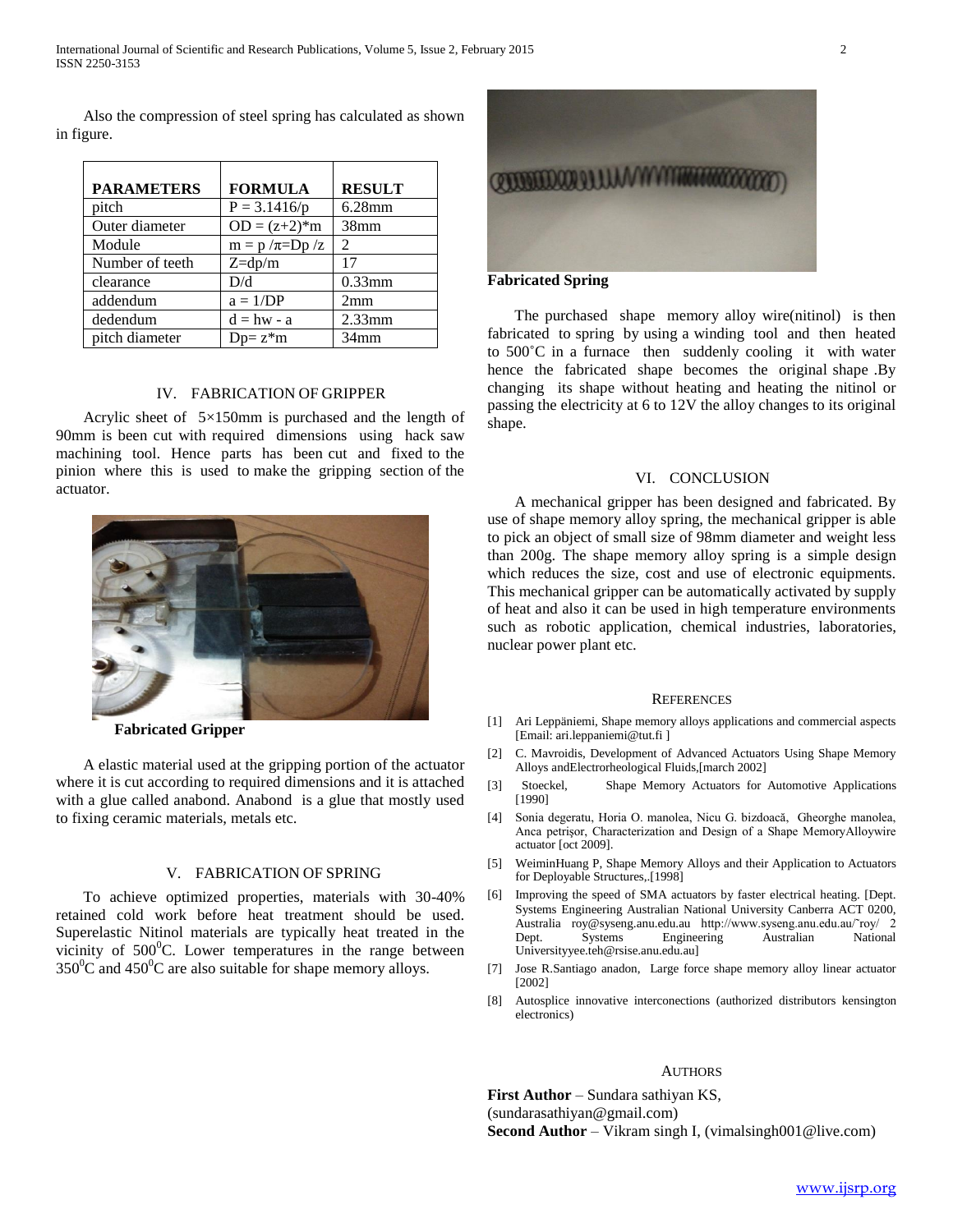Also the compression of steel spring has calculated as shown in figure.

| <b>PARAMETERS</b> | <b>FORMULA</b>         | <b>RESULT</b>               |
|-------------------|------------------------|-----------------------------|
| pitch             | $P = 3.1416/p$         | $6.28$ mm                   |
| Outer diameter    | $OD = (z+2)*m$         | 38 <sub>mm</sub>            |
| Module            | $m = p / \pi = Dp / z$ | $\mathcal{D}_{\mathcal{L}}$ |
| Number of teeth   | $Z = dp/m$             | 17                          |
| clearance         | D/d                    | $0.33$ mm                   |
| addendum          | $a = 1/DP$             | 2mm                         |
| dedendum          | $d = hw - a$           | $2.33$ mm                   |
| pitch diameter    | $Dp= z^*m$             | 34 <sub>mm</sub>            |

#### IV. FABRICATION OF GRIPPER

 Acrylic sheet of 5×150mm is purchased and the length of 90mm is been cut with required dimensions using hack saw machining tool. Hence parts has been cut and fixed to the pinion where this is used to make the gripping section of the actuator.



 **Fabricated Gripper** 

 A elastic material used at the gripping portion of the actuator where it is cut according to required dimensions and it is attached with a glue called anabond. Anabond is a glue that mostly used to fixing ceramic materials, metals etc.

## V. FABRICATION OF SPRING

 To achieve optimized properties, materials with 30-40% retained cold work before heat treatment should be used. Superelastic Nitinol materials are typically heat treated in the vicinity of  $500^{\circ}$ C. Lower temperatures in the range between  $350^0$ C and  $450^0$ C are also suitable for shape memory alloys.



## **Fabricated Spring**

 The purchased shape memory alloy wire(nitinol) is then fabricated to spring by using a winding tool and then heated to 500**˚**C in a furnace then suddenly cooling it with water hence the fabricated shape becomes the original shape .By changing its shape without heating and heating the nitinol or passing the electricity at 6 to 12V the alloy changes to its original shape.

## VI. CONCLUSION

 A mechanical gripper has been designed and fabricated. By use of shape memory alloy spring, the mechanical gripper is able to pick an object of small size of 98mm diameter and weight less than 200g. The shape memory alloy spring is a simple design which reduces the size, cost and use of electronic equipments. This mechanical gripper can be automatically activated by supply of heat and also it can be used in high temperature environments such as robotic application, chemical industries, laboratories, nuclear power plant etc.

#### **REFERENCES**

- [1] Ari Leppäniemi, Shape memory alloys applications and commercial aspects [Email: ari.leppaniemi@tut.fi ]
- [2] C. Mavroidis, Development of Advanced Actuators Using Shape Memory Alloys andElectrorheological Fluids,[march 2002]
- [3] Stoeckel, Shape Memory Actuators for Automotive Applications [1990]
- [4] Sonia degeratu, Horia O. manolea, Nicu G. bizdoacă, Gheorghe manolea, Anca petrişor, Characterization and Design of a Shape MemoryAlloywire actuator [oct 2009].
- [5] WeiminHuang P, Shape Memory Alloys and their Application to Actuators for Deployable Structures,.[1998]
- [6] Improving the speed of SMA actuators by faster electrical heating. [Dept. Systems Engineering Australian National University Canberra ACT 0200, Australia roy@syseng.anu.edu.au http://www.syseng.anu.edu.au/˜roy/ 2 Dept. Systems Engineering Australian National Universityyee.teh@rsise.anu.edu.au]
- [7] Jose R.Santiago anadon, Large force shape memory alloy linear actuator [2002]
- [8] Autosplice innovative interconections (authorized distributors kensington electronics)

#### AUTHORS

First Author – Sundara sathiyan KS, (sundarasathiyan@gmail.com) **Second Author** – Vikram singh I, (vimalsingh001@live.com)